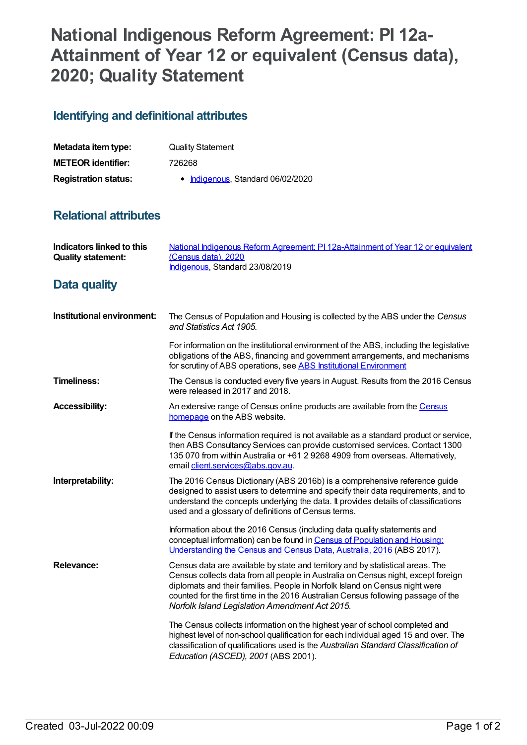## **National Indigenous Reform Agreement: PI 12a-Attainment of Year 12 or equivalent (Census data), 2020; Quality Statement**

## **Identifying and definitional attributes**

| Metadata item type:         | <b>Quality Statement</b>          |
|-----------------------------|-----------------------------------|
| <b>METEOR identifier:</b>   | 726268                            |
| <b>Registration status:</b> | • Indigenous, Standard 06/02/2020 |

## **Relational attributes**

| <b>Indicators linked to this</b><br><b>Quality statement:</b> | National Indigenous Reform Agreement: PI 12a-Attainment of Year 12 or equivalent<br>(Census data), 2020<br>Indigenous, Standard 23/08/2019                                                                                                                                                                                                                                                |
|---------------------------------------------------------------|-------------------------------------------------------------------------------------------------------------------------------------------------------------------------------------------------------------------------------------------------------------------------------------------------------------------------------------------------------------------------------------------|
| Data quality                                                  |                                                                                                                                                                                                                                                                                                                                                                                           |
| Institutional environment:                                    | The Census of Population and Housing is collected by the ABS under the Census<br>and Statistics Act 1905.                                                                                                                                                                                                                                                                                 |
|                                                               | For information on the institutional environment of the ABS, including the legislative<br>obligations of the ABS, financing and government arrangements, and mechanisms<br>for scrutiny of ABS operations, see ABS Institutional Environment                                                                                                                                              |
| <b>Timeliness:</b>                                            | The Census is conducted every five years in August. Results from the 2016 Census<br>were released in 2017 and 2018.                                                                                                                                                                                                                                                                       |
| <b>Accessibility:</b>                                         | An extensive range of Census online products are available from the Census<br>homepage on the ABS website.                                                                                                                                                                                                                                                                                |
|                                                               | If the Census information required is not available as a standard product or service,<br>then ABS Consultancy Services can provide customised services. Contact 1300<br>135 070 from within Australia or +61 2 9268 4909 from overseas. Alternatively,<br>email client.services@abs.gov.au.                                                                                               |
| Interpretability:                                             | The 2016 Census Dictionary (ABS 2016b) is a comprehensive reference guide<br>designed to assist users to determine and specify their data requirements, and to<br>understand the concepts underlying the data. It provides details of classifications<br>used and a glossary of definitions of Census terms.                                                                              |
|                                                               | Information about the 2016 Census (including data quality statements and<br>conceptual information) can be found in Census of Population and Housing:<br>Understanding the Census and Census Data, Australia, 2016 (ABS 2017).                                                                                                                                                            |
| <b>Relevance:</b>                                             | Census data are available by state and territory and by statistical areas. The<br>Census collects data from all people in Australia on Census night, except foreign<br>diplomats and their families. People in Norfolk Island on Census night were<br>counted for the first time in the 2016 Australian Census following passage of the<br>Norfolk Island Legislation Amendment Act 2015. |
|                                                               | The Census collects information on the highest year of school completed and<br>highest level of non-school qualification for each individual aged 15 and over. The<br>classification of qualifications used is the Australian Standard Classification of<br>Education (ASCED), 2001 (ABS 2001).                                                                                           |